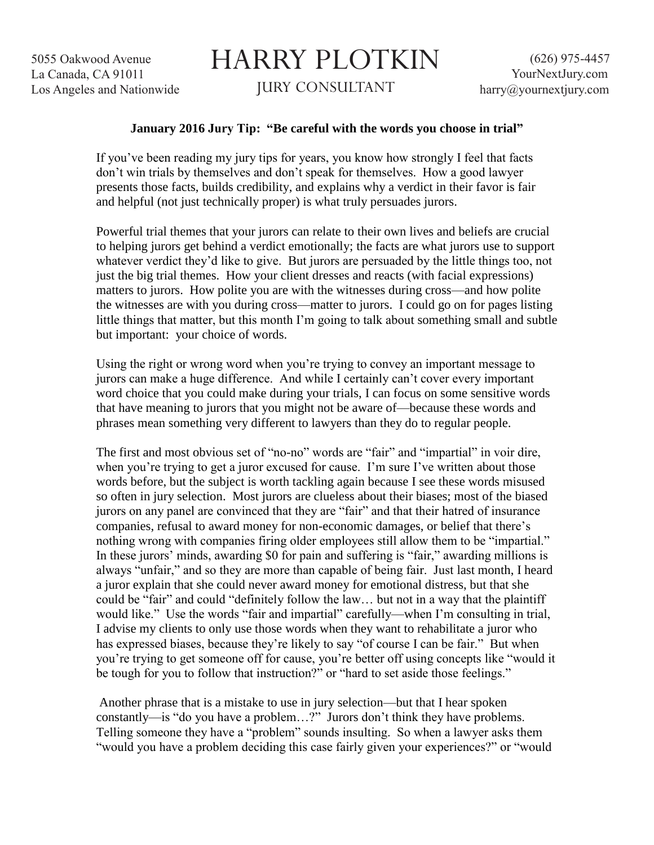5055 Oakwood Avenue La Canada, CA 91011 Los Angeles and Nationwide

## HARRY PLOTKIN JURY CONSULTANT

## **January 2016 Jury Tip: "Be careful with the words you choose in trial"**

If you've been reading my jury tips for years, you know how strongly I feel that facts don't win trials by themselves and don't speak for themselves. How a good lawyer presents those facts, builds credibility, and explains why a verdict in their favor is fair and helpful (not just technically proper) is what truly persuades jurors.

Powerful trial themes that your jurors can relate to their own lives and beliefs are crucial to helping jurors get behind a verdict emotionally; the facts are what jurors use to support whatever verdict they'd like to give. But jurors are persuaded by the little things too, not just the big trial themes. How your client dresses and reacts (with facial expressions) matters to jurors. How polite you are with the witnesses during cross—and how polite the witnesses are with you during cross—matter to jurors. I could go on for pages listing little things that matter, but this month I'm going to talk about something small and subtle but important: your choice of words.

Using the right or wrong word when you're trying to convey an important message to jurors can make a huge difference. And while I certainly can't cover every important word choice that you could make during your trials, I can focus on some sensitive words that have meaning to jurors that you might not be aware of—because these words and phrases mean something very different to lawyers than they do to regular people.

The first and most obvious set of "no-no" words are "fair" and "impartial" in voir dire, when you're trying to get a juror excused for cause. I'm sure I've written about those words before, but the subject is worth tackling again because I see these words misused so often in jury selection. Most jurors are clueless about their biases; most of the biased jurors on any panel are convinced that they are "fair" and that their hatred of insurance companies, refusal to award money for non-economic damages, or belief that there's nothing wrong with companies firing older employees still allow them to be "impartial." In these jurors' minds, awarding \$0 for pain and suffering is "fair," awarding millions is always "unfair," and so they are more than capable of being fair. Just last month, I heard a juror explain that she could never award money for emotional distress, but that she could be "fair" and could "definitely follow the law… but not in a way that the plaintiff would like." Use the words "fair and impartial" carefully—when I'm consulting in trial, I advise my clients to only use those words when they want to rehabilitate a juror who has expressed biases, because they're likely to say "of course I can be fair." But when you're trying to get someone off for cause, you're better off using concepts like "would it be tough for you to follow that instruction?" or "hard to set aside those feelings."

Another phrase that is a mistake to use in jury selection—but that I hear spoken constantly—is "do you have a problem…?" Jurors don't think they have problems. Telling someone they have a "problem" sounds insulting. So when a lawyer asks them "would you have a problem deciding this case fairly given your experiences?" or "would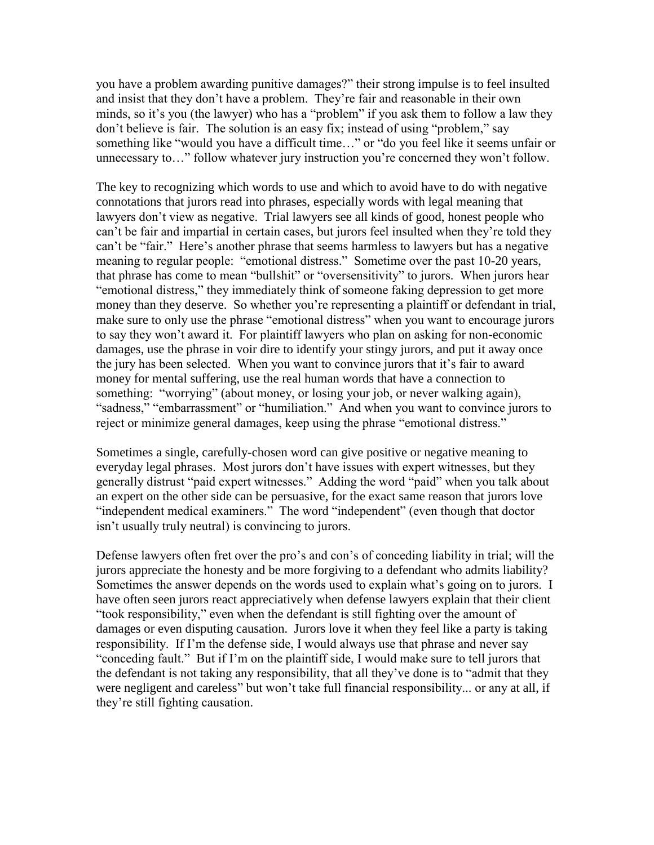you have a problem awarding punitive damages?" their strong impulse is to feel insulted and insist that they don't have a problem. They're fair and reasonable in their own minds, so it's you (the lawyer) who has a "problem" if you ask them to follow a law they don't believe is fair. The solution is an easy fix; instead of using "problem," say something like "would you have a difficult time…" or "do you feel like it seems unfair or unnecessary to…" follow whatever jury instruction you're concerned they won't follow.

The key to recognizing which words to use and which to avoid have to do with negative connotations that jurors read into phrases, especially words with legal meaning that lawyers don't view as negative. Trial lawyers see all kinds of good, honest people who can't be fair and impartial in certain cases, but jurors feel insulted when they're told they can't be "fair." Here's another phrase that seems harmless to lawyers but has a negative meaning to regular people: "emotional distress." Sometime over the past 10-20 years, that phrase has come to mean "bullshit" or "oversensitivity" to jurors. When jurors hear "emotional distress," they immediately think of someone faking depression to get more money than they deserve. So whether you're representing a plaintiff or defendant in trial, make sure to only use the phrase "emotional distress" when you want to encourage jurors to say they won't award it. For plaintiff lawyers who plan on asking for non-economic damages, use the phrase in voir dire to identify your stingy jurors, and put it away once the jury has been selected. When you want to convince jurors that it's fair to award money for mental suffering, use the real human words that have a connection to something: "worrying" (about money, or losing your job, or never walking again), "sadness," "embarrassment" or "humiliation." And when you want to convince jurors to reject or minimize general damages, keep using the phrase "emotional distress."

Sometimes a single, carefully-chosen word can give positive or negative meaning to everyday legal phrases. Most jurors don't have issues with expert witnesses, but they generally distrust "paid expert witnesses." Adding the word "paid" when you talk about an expert on the other side can be persuasive, for the exact same reason that jurors love "independent medical examiners." The word "independent" (even though that doctor isn't usually truly neutral) is convincing to jurors.

Defense lawyers often fret over the pro's and con's of conceding liability in trial; will the jurors appreciate the honesty and be more forgiving to a defendant who admits liability? Sometimes the answer depends on the words used to explain what's going on to jurors. I have often seen jurors react appreciatively when defense lawyers explain that their client "took responsibility," even when the defendant is still fighting over the amount of damages or even disputing causation. Jurors love it when they feel like a party is taking responsibility. If I'm the defense side, I would always use that phrase and never say "conceding fault." But if I'm on the plaintiff side, I would make sure to tell jurors that the defendant is not taking any responsibility, that all they've done is to "admit that they were negligent and careless" but won't take full financial responsibility... or any at all, if they're still fighting causation.